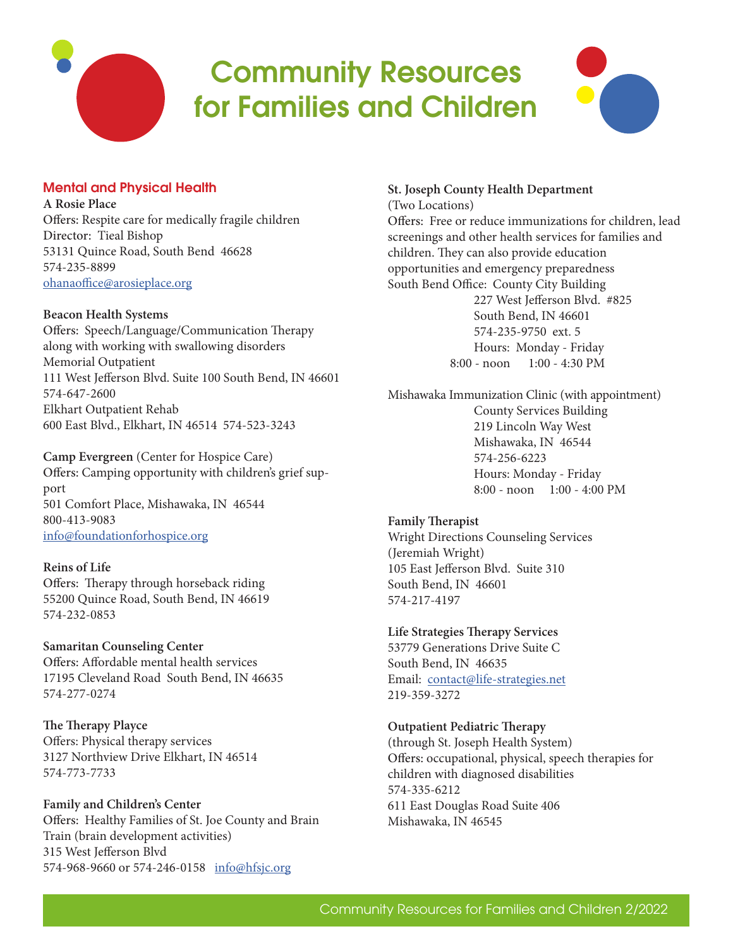# Community Resources for Families and Children



# Mental and Physical Health

**A Rosie Place** Offers: Respite care for medically fragile children Director: Tieal Bishop 53131 Quince Road, South Bend 46628 574-235-8899 ohanaoffice@arosieplace.org

#### **Beacon Health Systems**

Offers: Speech/Language/Communication Therapy along with working with swallowing disorders Memorial Outpatient 111 West Jefferson Blvd. Suite 100 South Bend, IN 46601 574-647-2600 Elkhart Outpatient Rehab 600 East Blvd., Elkhart, IN 46514 574-523-3243

**Camp Evergreen** (Center for Hospice Care) Offers: Camping opportunity with children's grief support 501 Comfort Place, Mishawaka, IN 46544 800-413-9083 info@foundationforhospice.org

#### **Reins of Life**

Offers: Therapy through horseback riding 55200 Quince Road, South Bend, IN 46619 574-232-0853

**Samaritan Counseling Center**

Offers: Affordable mental health services 17195 Cleveland Road South Bend, IN 46635 574-277-0274

**The Therapy Playce** Offers: Physical therapy services 3127 Northview Drive Elkhart, IN 46514 574-773-7733

**Family and Children's Center** Offers: Healthy Families of St. Joe County and Brain Train (brain development activities) 315 West Jefferson Blvd 574-968-9660 or 574-246-0158 info@hfsjc.org

#### **St. Joseph County Health Department** (Two Locations)

Offers: Free or reduce immunizations for children, lead screenings and other health services for families and children. They can also provide education opportunities and emergency preparedness South Bend Office: County City Building 227 West Jefferson Blvd. #825 South Bend, IN 46601 574-235-9750 ext. 5 Hours: Monday - Friday 8:00 - noon 1:00 - 4:30 PM

Mishawaka Immunization Clinic (with appointment) County Services Building 219 Lincoln Way West Mishawaka, IN 46544 574-256-6223 Hours: Monday - Friday 8:00 - noon 1:00 - 4:00 PM

## **Family Therapist**

Wright Directions Counseling Services (Jeremiah Wright) 105 East Jefferson Blvd. Suite 310 South Bend, IN 46601 574-217-4197

**Life Strategies Therapy Services** 53779 Generations Drive Suite C South Bend, IN 46635 Email: contact@life-strategies.net 219-359-3272

## **Outpatient Pediatric Therapy**

(through St. Joseph Health System) Offers: occupational, physical, speech therapies for children with diagnosed disabilities 574-335-6212 611 East Douglas Road Suite 406 Mishawaka, IN 46545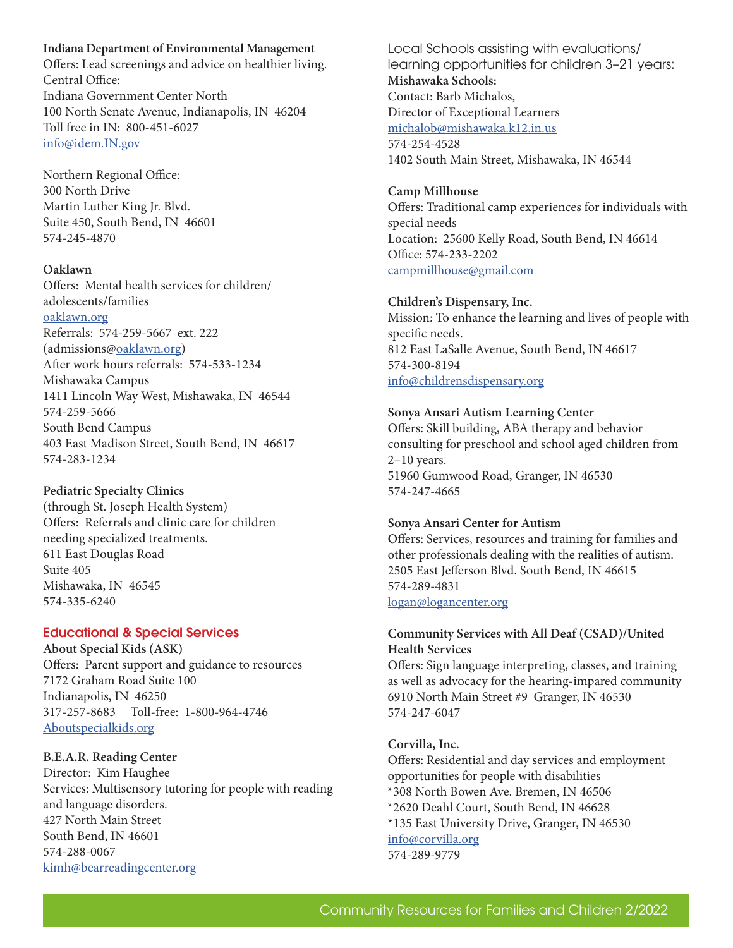## **Indiana Department of Environmental Management**

Offers: Lead screenings and advice on healthier living. Central Office: Indiana Government Center North 100 North Senate Avenue, Indianapolis, IN 46204 Toll free in IN: 800-451-6027 info@idem.IN.gov

Northern Regional Office: 300 North Drive Martin Luther King Jr. Blvd. Suite 450, South Bend, IN 46601 574-245-4870

## **Oaklawn**

Offers: Mental health services for children/ adolescents/families oaklawn.org Referrals: 574-259-5667 ext. 222 (admissions@oaklawn.org) After work hours referrals: 574-533-1234 Mishawaka Campus 1411 Lincoln Way West, Mishawaka, IN 46544 574-259-5666 South Bend Campus 403 East Madison Street, South Bend, IN 46617 574-283-1234

#### **Pediatric Specialty Clinics**

(through St. Joseph Health System) Offers: Referrals and clinic care for children needing specialized treatments. 611 East Douglas Road Suite 405 Mishawaka, IN 46545 574-335-6240

# Educational & Special Services

**About Special Kids (ASK)** Offers: Parent support and guidance to resources 7172 Graham Road Suite 100 Indianapolis, IN 46250 317-257-8683 Toll-free: 1-800-964-4746 Aboutspecialkids.org

## **B.E.A.R. Reading Center**

Director: Kim Haughee Services: Multisensory tutoring for people with reading and language disorders. 427 North Main Street South Bend, IN 46601 574-288-0067 kimh@bearreadingcenter.org

Local Schools assisting with evaluations/ learning opportunities for children 3–21 years: **Mishawaka Schools:** Contact: Barb Michalos, Director of Exceptional Learners michalob@mishawaka.k12.in.us 574-254-4528 1402 South Main Street, Mishawaka, IN 46544

## **Camp Millhouse** Offers: Traditional camp experiences for individuals with special needs Location: 25600 Kelly Road, South Bend, IN 46614 Office: 574-233-2202 campmillhouse@gmail.com

#### **Children's Dispensary, Inc.**

Mission: To enhance the learning and lives of people with specific needs. 812 East LaSalle Avenue, South Bend, IN 46617 574-300-8194 info@childrensdispensary.org

#### **Sonya Ansari Autism Learning Center**

Offers: Skill building, ABA therapy and behavior consulting for preschool and school aged children from 2–10 years. 51960 Gumwood Road, Granger, IN 46530 574-247-4665

#### **Sonya Ansari Center for Autism**

Offers: Services, resources and training for families and other professionals dealing with the realities of autism. 2505 East Jefferson Blvd. South Bend, IN 46615 574-289-4831 logan@logancenter.org

#### **Community Services with All Deaf (CSAD)/United Health Services**

Offers: Sign language interpreting, classes, and training as well as advocacy for the hearing-impared community 6910 North Main Street #9 Granger, IN 46530 574-247-6047

#### **Corvilla, Inc.**

Offers: Residential and day services and employment opportunities for people with disabilities \*308 North Bowen Ave. Bremen, IN 46506 \*2620 Deahl Court, South Bend, IN 46628 \*135 East University Drive, Granger, IN 46530 info@corvilla.org 574-289-9779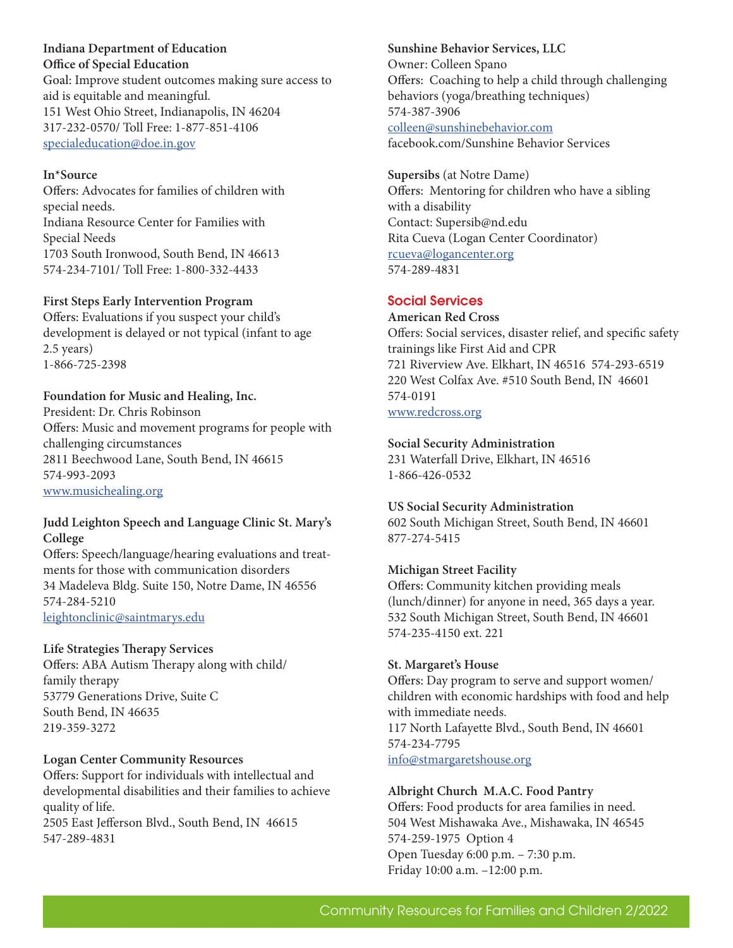**Indiana Department of Education Office of Special Education** Goal: Improve student outcomes making sure access to aid is equitable and meaningful. 151 West Ohio Street, Indianapolis, IN 46204 317-232-0570/ Toll Free: 1-877-851-4106 specialeducation@doe.in.gov

#### **In\*Source**

Offers: Advocates for families of children with special needs. Indiana Resource Center for Families with Special Needs 1703 South Ironwood, South Bend, IN 46613 574-234-7101/ Toll Free: 1-800-332-4433

#### **First Steps Early Intervention Program**

Offers: Evaluations if you suspect your child's development is delayed or not typical (infant to age 2.5 years) 1-866-725-2398

# **Foundation for Music and Healing, Inc.**

President: Dr. Chris Robinson Offers: Music and movement programs for people with challenging circumstances 2811 Beechwood Lane, South Bend, IN 46615 574-993-2093 www.musichealing.org

#### **Judd Leighton Speech and Language Clinic St. Mary's College**

Offers: Speech/language/hearing evaluations and treatments for those with communication disorders 34 Madeleva Bldg. Suite 150, Notre Dame, IN 46556 574-284-5210 leightonclinic@saintmarys.edu

## **Life Strategies Therapy Services**

Offers: ABA Autism Therapy along with child/ family therapy 53779 Generations Drive, Suite C South Bend, IN 46635 219-359-3272

## **Logan Center Community Resources**

Offers: Support for individuals with intellectual and developmental disabilities and their families to achieve quality of life. 2505 East Jefferson Blvd., South Bend, IN 46615 547-289-4831

**Sunshine Behavior Services, LLC** Owner: Colleen Spano Offers: Coaching to help a child through challenging behaviors (yoga/breathing techniques) 574-387-3906 colleen@sunshinebehavior.com facebook.com/Sunshine Behavior Services

**Supersibs** (at Notre Dame) Offers: Mentoring for children who have a sibling with a disability Contact: Supersib@nd.edu Rita Cueva (Logan Center Coordinator) rcueva@logancenter.org 574-289-4831

## Social Services

# **American Red Cross**

Offers: Social services, disaster relief, and specific safety trainings like First Aid and CPR 721 Riverview Ave. Elkhart, IN 46516 574-293-6519 220 West Colfax Ave. #510 South Bend, IN 46601 574-0191 www.redcross.org

#### **Social Security Administration**

231 Waterfall Drive, Elkhart, IN 46516 1-866-426-0532

#### **US Social Security Administration**

602 South Michigan Street, South Bend, IN 46601 877-274-5415

## **Michigan Street Facility**

Offers: Community kitchen providing meals (lunch/dinner) for anyone in need, 365 days a year. 532 South Michigan Street, South Bend, IN 46601 574-235-4150 ext. 221

#### **St. Margaret's House**

Offers: Day program to serve and support women/ children with economic hardships with food and help with immediate needs. 117 North Lafayette Blvd., South Bend, IN 46601 574-234-7795 info@stmargaretshouse.org

#### **Albright Church M.A.C. Food Pantry**

Offers: Food products for area families in need. 504 West Mishawaka Ave., Mishawaka, IN 46545 574-259-1975 Option 4 Open Tuesday 6:00 p.m. – 7:30 p.m. Friday 10:00 a.m. –12:00 p.m.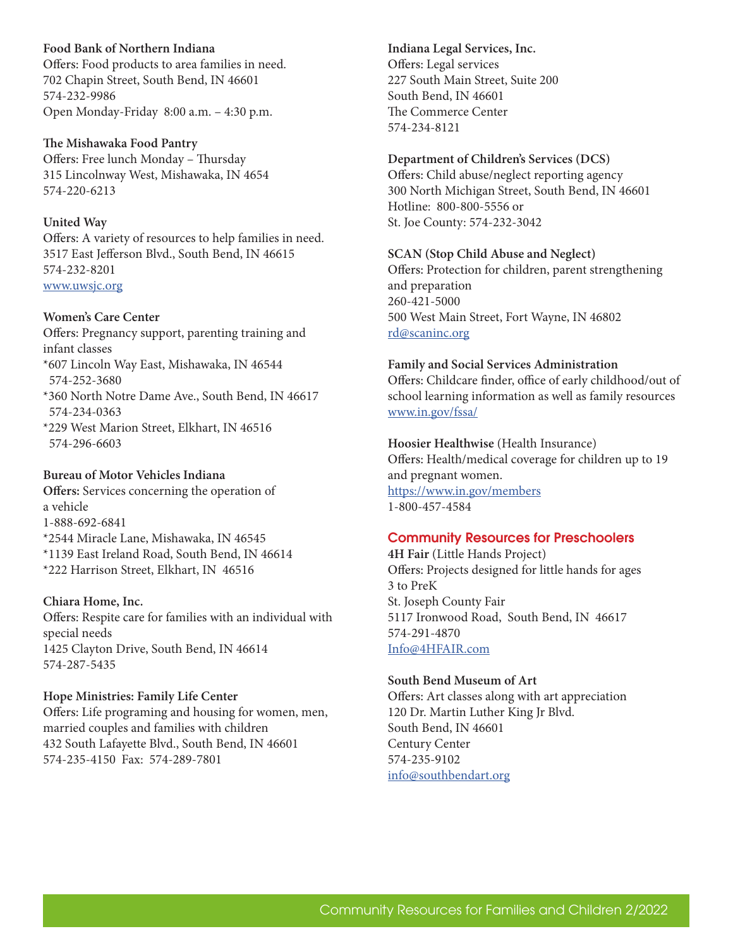**Food Bank of Northern Indiana** Offers: Food products to area families in need. 702 Chapin Street, South Bend, IN 46601 574-232-9986 Open Monday-Friday 8:00 a.m. – 4:30 p.m.

**The Mishawaka Food Pantry** Offers: Free lunch Monday – Thursday 315 Lincolnway West, Mishawaka, IN 4654 574-220-6213

## **United Way**

Offers: A variety of resources to help families in need. 3517 East Jefferson Blvd., South Bend, IN 46615 574-232-8201 www.uwsjc.org

## **Women's Care Center**

Offers: Pregnancy support, parenting training and infant classes \*607 Lincoln Way East, Mishawaka, IN 46544

574-252-3680

\*360 North Notre Dame Ave., South Bend, IN 46617 574-234-0363

\*229 West Marion Street, Elkhart, IN 46516 574-296-6603

## **Bureau of Motor Vehicles Indiana**

**Offers:** Services concerning the operation of a vehicle 1-888-692-6841 \*2544 Miracle Lane, Mishawaka, IN 46545 \*1139 East Ireland Road, South Bend, IN 46614 \*222 Harrison Street, Elkhart, IN 46516

## **Chiara Home, Inc.**

Offers: Respite care for families with an individual with special needs 1425 Clayton Drive, South Bend, IN 46614 574-287-5435

## **Hope Ministries: Family Life Center**

Offers: Life programing and housing for women, men, married couples and families with children 432 South Lafayette Blvd., South Bend, IN 46601 574-235-4150 Fax: 574-289-7801

**Indiana Legal Services, Inc.** Offers: Legal services 227 South Main Street, Suite 200 South Bend, IN 46601 The Commerce Center 574-234-8121

## **Department of Children's Services (DCS)**

Offers: Child abuse/neglect reporting agency 300 North Michigan Street, South Bend, IN 46601 Hotline: 800-800-5556 or St. Joe County: 574-232-3042

#### **SCAN (Stop Child Abuse and Neglect)**

Offers: Protection for children, parent strengthening and preparation 260-421-5000 500 West Main Street, Fort Wayne, IN 46802 rd@scaninc.org

#### **Family and Social Services Administration**

Offers: Childcare finder, office of early childhood/out of school learning information as well as family resources www.in.gov/fssa/

**Hoosier Healthwise** (Health Insurance) Offers: Health/medical coverage for children up to 19 and pregnant women. https://www.in.gov/members 1-800-457-4584

## Community Resources for Preschoolers

**4H Fair** (Little Hands Project) Offers: Projects designed for little hands for ages 3 to PreK St. Joseph County Fair 5117 Ironwood Road, South Bend, IN 46617 574-291-4870 Info@4HFAIR.com

#### **South Bend Museum of Art**

Offers: Art classes along with art appreciation 120 Dr. Martin Luther King Jr Blvd. South Bend, IN 46601 Century Center 574-235-9102 info@southbendart.org